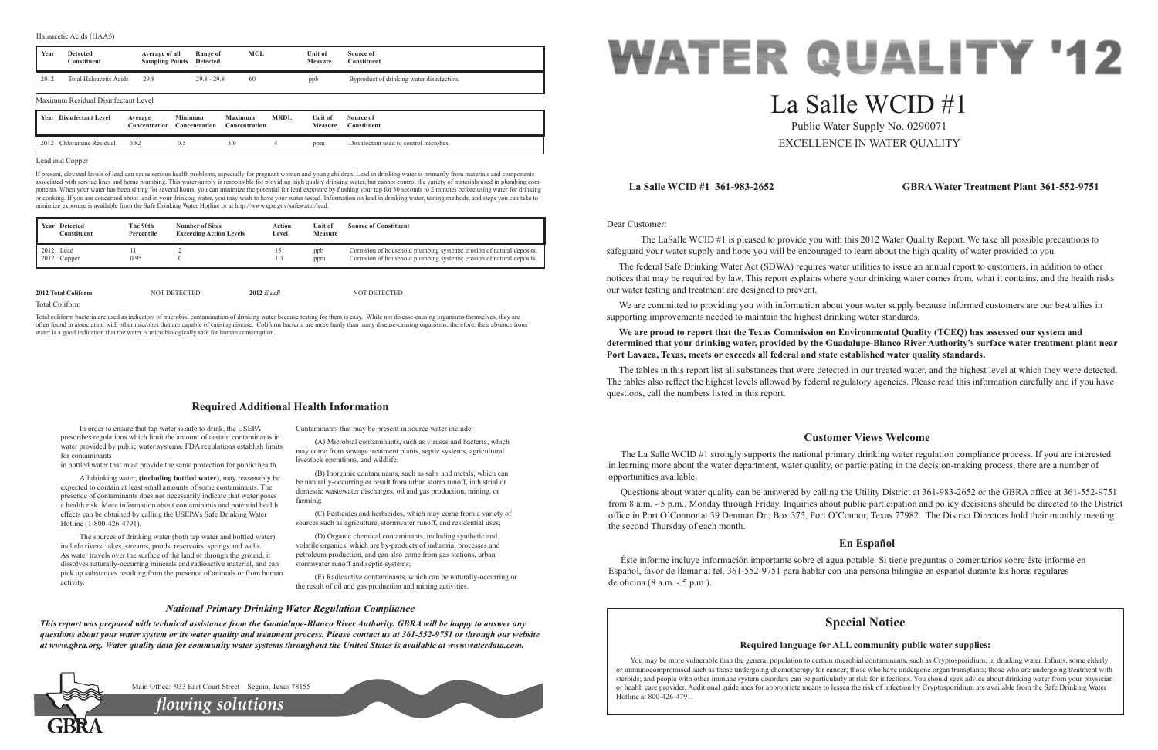Dear Customer:

 The LaSalle WCID #1 is pleased to provide you with this 2012 Water Quality Report. We take all possible precautions to safeguard your water supply and hope you will be encouraged to learn about the high quality of water provided to you.

We are committed to providing you with information about your water supply because informed customers are our best allies in supporting improvements needed to maintain the highest drinking water standards.

The federal Safe Drinking Water Act (SDWA) requires water utilities to issue an annual report to customers, in addition to other notices that may be required by law. This report explains where your drinking water comes from, what it contains, and the health risks our water testing and treatment are designed to prevent.

**We are proud to report that the Texas Commission on Environmental Quality (TCEQ) has assessed our system and determined that your drinking water, provided by the Guadalupe-Blanco River Authority's surface water treatment plant near Port Lavaca, Texas, meets or exceeds all federal and state established water quality standards.**

The tables in this report list all substances that were detected in our treated water, and the highest level at which they were detected. The tables also reflect the highest levels allowed by federal regulatory agencies. Please read this information carefully and if you have questions, call the numbers listed in this report.

# **La Salle WCID #1 361-983-2652 GBRA Water Treatment Plant 361-552-9751**

# **Customer Views Welcome**

The La Salle WCID #1 strongly supports the national primary drinking water regulation compliance process. If you are interested in learning more about the water department, water quality, or participating in the decision-making process, there are a number of opportunities available.

(C) Pesticides and herbicides, which may come from a variety of sources such as agriculture, stormwater runoff, and residential uses;

Questions about water quality can be answered by calling the Utility District at 361-983-2652 or the GBRA office at 361-552-9751 from 8 a.m. - 5 p.m., Monday through Friday. Inquiries about public participation and policy decisions should be directed to the District office in Port O'Connor at 39 Denman Dr., Box 375, Port O'Connor, Texas 77982. The District Directors hold their monthly meeting the second Thursday of each month.

# **En Español**

Éste informe incluye información importante sobre el agua potable. Si tiene preguntas o comentarios sobre éste informe en Español, favor de llamar al tel. 361-552-9751 para hablar con una persona bilingüe en español durante las horas regulares de oficina (8 a.m. - 5 p.m.).

In order to ensure that tap water is safe to drink, the USEPA prescribes regulations which limit the amount of certain contaminants in water provided by public water systems. FDA regulations establish limits for contaminants

in bottled water that must provide the same protection for public health.

All drinking water, **(including bottled water)**, may reasonably be expected to contain at least small amounts of some contaminants. The presence of contaminants does not necessarily indicate that water poses a health risk. More information about contaminants and potential health effects can be obtained by calling the USEPA's Safe Drinking Water Hotline (1-800-426-4791).

The sources of drinking water (both tap water and bottled water) include rivers, lakes, streams, ponds, reservoirs, springs and wells. As water travels over the surface of the land or through the ground, it dissolves naturally-occurring minerals and radioactive material, and can pick up substances resulting from the presence of animals or from human activity.

Contaminants that may be present in source water include:

(A) Microbial contaminants, such as viruses and bacteria, which may come from sewage treatment plants, septic systems, agricultural livestock operations, and wildlife;

> You may be more vulnerable than the general population to certain microbial contaminants, such as Cryptosporidium, in drinking water. Infants, some elderly or immunocompromised such as those undergoing chemotherapy for cancer; those who have undergone organ transplants; those who are undergoing treatment with steroids; and people with other immune system disorders can be particularly at risk for infections. You should seek advice about drinking water from your physician or health care provider. Additional guidelines for appropriate means to lessen the risk of infection by Cryptosporidium are available from the Safe Drinking Water Hotline at 800-426-4791.



(B) Inorganic contaminants, such as salts and metals, which can be naturally-occurring or result from urban storm runoff, industrial or domestic wastewater discharges, oil and gas production, mining, or farming;

(D) Organic chemical contaminants, including synthetic and volatile organics, which are by-products of industrial processes and petroleum production, and can also come from gas stations, urban stormwater runoff and septic systems;

(E) Radioactive contaminants, which can be naturally-occurring or the result of oil and gas production and mining activities.

# **Required Additional Health Information**

# *National Primary Drinking Water Regulation Compliance*

*This report was prepared with technical assistance from the Guadalupe-Blanco River Authority. GBRA will be happy to answer any questions about your water system or its water quality and treatment process. Please contact us at 361-552-9751 or through our website at www.gbra.org. Water quality data for community water systems throughout the United States is available at www.waterdata.com.*



# La Salle WCID #1

Public Water Supply No. 0290071 EXCELLENCE IN WATER QUALITY

### Lead and Copper

If present, elevated levels of lead can cause serious health problems, especially for pregnant women and young children. Lead in drinking water is primarily from materials and components associated with service lines and home plumbing. This water supply is responsible for providing high quality drinking water, but cannot control the variety of materials used in plumbing components. When your water has been sitting for several hours, you can minimize the potential for lead exposure by flushing your tap for 30 seconds to 2 minutes before using water for drinking or cooking. If you are concerned about lead in your drinking water, you may wish to have your water tested. Information on lead in drinking water, testing methods, and steps you can take to minimize exposure is available from the Safe Drinking Water Hotline or at http://www.epa.gov/safewater/lead.

| Year                     | <b>Detected</b><br><b>Constituent</b> | Average of all<br><b>Sampling Points</b> | Range of<br><b>Detected</b>     | <b>MCL</b>                             |             | Unit of<br><b>Measure</b> | Source of<br>Constituent                  |
|--------------------------|---------------------------------------|------------------------------------------|---------------------------------|----------------------------------------|-------------|---------------------------|-------------------------------------------|
| 2012                     | Total Haloacetic Acids                | 29.8                                     | $29.8 - 29.8$                   | 60                                     |             | ppb                       | Byproduct of drinking water disinfection. |
|                          | Maximum Residual Disinfectant Level   |                                          |                                 |                                        |             |                           |                                           |
|                          | <b>Year</b> Disinfectant Level        | Average<br><b>Concentration</b>          | <b>Minimum</b><br>Concentration | <b>Maximum</b><br><b>Concentration</b> | <b>MRDL</b> | Unit of<br><b>Measure</b> | Source of<br>Constituent                  |
| 2012 Chloramine Residual |                                       |                                          |                                 | 5.9                                    |             |                           |                                           |

#### Haloacetic Acids (HAA5)

Total Coliform

Total coliform bacteria are used as indicators of microbial contamination of drinking water because testing for them is easy. While not disease-causing organisms themselves, they are often found in association with other microbes that are capable of causing disease. Coliform bacteria are more hardy than many disease-causing organisms, therefore, their absence from water is a good indication that the water is microbiologically safe for human consumption.

*flowing solutions*

Main Office: 933 East Court Street ~ Seguin, Texas 78155

| Year Detected<br>Constituent | The 90th<br>Percentile | <b>Number of Sites</b><br><b>Exceeding Action Levels</b> | Action<br>Level | Unit of<br><b>Measure</b> | <b>Source of Constituent</b>                                                                                                                   |
|------------------------------|------------------------|----------------------------------------------------------|-----------------|---------------------------|------------------------------------------------------------------------------------------------------------------------------------------------|
| 2012 Lead<br>2012 Copper     | 0.95                   | $\theta$                                                 | 15<br>L.        | ppb<br>ppm                | Corrosion of household plumbing systems; erosion of natural deposits.<br>Corrosion of household plumbing systems; erosion of natural deposits. |
| 2012 Total Coliform          |                        | NOT DETECTED                                             | $2012$ E.coli   |                           | NOT DETECTED                                                                                                                                   |

# **Special Notice**

# **Required language for ALL community public water supplies:**